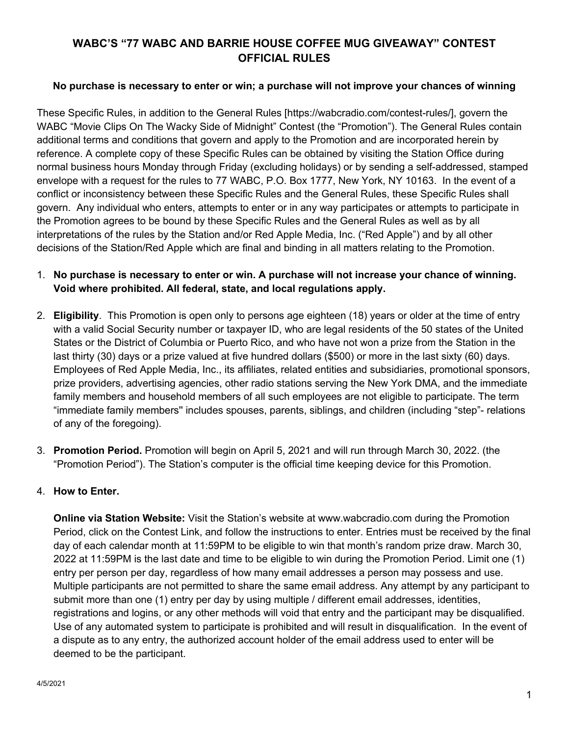## **WABC'S "77 WABC AND BARRIE HOUSE COFFEE MUG GIVEAWAY" CONTEST OFFICIAL RULES**

## **No purchase is necessary to enter or win; a purchase will not improve your chances of winning**

These Specific Rules, in addition to the General Rules [https://wabcradio.com/contest-rules/], govern the WABC "Movie Clips On The Wacky Side of Midnight" Contest (the "Promotion"). The General Rules contain additional terms and conditions that govern and apply to the Promotion and are incorporated herein by reference. A complete copy of these Specific Rules can be obtained by visiting the Station Office during normal business hours Monday through Friday (excluding holidays) or by sending a self-addressed, stamped envelope with a request for the rules to 77 WABC, P.O. Box 1777, New York, NY 10163. In the event of a conflict or inconsistency between these Specific Rules and the General Rules, these Specific Rules shall govern. Any individual who enters, attempts to enter or in any way participates or attempts to participate in the Promotion agrees to be bound by these Specific Rules and the General Rules as well as by all interpretations of the rules by the Station and/or Red Apple Media, Inc. ("Red Apple") and by all other decisions of the Station/Red Apple which are final and binding in all matters relating to the Promotion.

## 1. **No purchase is necessary to enter or win. A purchase will not increase your chance of winning. Void where prohibited. All federal, state, and local regulations apply.**

- 2. **Eligibility**. This Promotion is open only to persons age eighteen (18) years or older at the time of entry with a valid Social Security number or taxpayer ID, who are legal residents of the 50 states of the United States or the District of Columbia or Puerto Rico, and who have not won a prize from the Station in the last thirty (30) days or a prize valued at five hundred dollars (\$500) or more in the last sixty (60) days. Employees of Red Apple Media, Inc., its affiliates, related entities and subsidiaries, promotional sponsors, prize providers, advertising agencies, other radio stations serving the New York DMA, and the immediate family members and household members of all such employees are not eligible to participate. The term "immediate family members'' includes spouses, parents, siblings, and children (including "step"- relations of any of the foregoing).
- 3. **Promotion Period.** Promotion will begin on April 5, 2021 and will run through March 30, 2022. (the "Promotion Period"). The Station's computer is the official time keeping device for this Promotion.

## 4. **How to Enter.**

**Online via Station Website:** Visit the Station's website at www.wabcradio.com during the Promotion Period, click on the Contest Link, and follow the instructions to enter. Entries must be received by the final day of each calendar month at 11:59PM to be eligible to win that month's random prize draw. March 30, 2022 at 11:59PM is the last date and time to be eligible to win during the Promotion Period. Limit one (1) entry per person per day, regardless of how many email addresses a person may possess and use. Multiple participants are not permitted to share the same email address. Any attempt by any participant to submit more than one (1) entry per day by using multiple / different email addresses, identities, registrations and logins, or any other methods will void that entry and the participant may be disqualified. Use of any automated system to participate is prohibited and will result in disqualification. In the event of a dispute as to any entry, the authorized account holder of the email address used to enter will be deemed to be the participant.